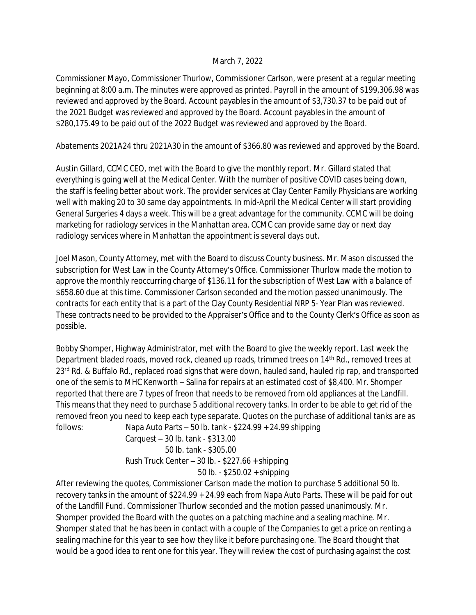## March 7, 2022

Commissioner Mayo, Commissioner Thurlow, Commissioner Carlson, were present at a regular meeting beginning at 8:00 a.m. The minutes were approved as printed. Payroll in the amount of \$199,306.98 was reviewed and approved by the Board. Account payables in the amount of \$3,730.37 to be paid out of the 2021 Budget was reviewed and approved by the Board. Account payables in the amount of \$280,175.49 to be paid out of the 2022 Budget was reviewed and approved by the Board.

Abatements 2021A24 thru 2021A30 in the amount of \$366.80 was reviewed and approved by the Board.

Austin Gillard, CCMC CEO, met with the Board to give the monthly report. Mr. Gillard stated that everything is going well at the Medical Center. With the number of positive COVID cases being down, the staff is feeling better about work. The provider services at Clay Center Family Physicians are working well with making 20 to 30 same day appointments. In mid-April the Medical Center will start providing General Surgeries 4 days a week. This will be a great advantage for the community. CCMC will be doing marketing for radiology services in the Manhattan area. CCMC can provide same day or next day radiology services where in Manhattan the appointment is several days out.

Joel Mason, County Attorney, met with the Board to discuss County business. Mr. Mason discussed the subscription for West Law in the County Attorney's Office. Commissioner Thurlow made the motion to approve the monthly reoccurring charge of \$136.11 for the subscription of West Law with a balance of \$658.60 due at this time. Commissioner Carlson seconded and the motion passed unanimously. The contracts for each entity that is a part of the Clay County Residential NRP 5- Year Plan was reviewed. These contracts need to be provided to the Appraiser's Office and to the County Clerk's Office as soon as possible.

Bobby Shomper, Highway Administrator, met with the Board to give the weekly report. Last week the Department bladed roads, moved rock, cleaned up roads, trimmed trees on 14th Rd., removed trees at 23<sup>rd</sup> Rd. & Buffalo Rd., replaced road signs that were down, hauled sand, hauled rip rap, and transported one of the semis to MHC Kenworth – Salina for repairs at an estimated cost of \$8,400. Mr. Shomper reported that there are 7 types of freon that needs to be removed from old appliances at the Landfill. This means that they need to purchase 5 additional recovery tanks. In order to be able to get rid of the removed freon you need to keep each type separate. Quotes on the purchase of additional tanks are as follows: Napa Auto Parts – 50 lb. tank - \$224.99 + 24.99 shipping

 Carquest – 30 lb. tank - \$313.00 50 lb. tank - \$305.00 Rush Truck Center – 30 lb. - \$227.66 + shipping 50 lb. - \$250.02 + shipping

After reviewing the quotes, Commissioner Carlson made the motion to purchase 5 additional 50 lb. recovery tanks in the amount of \$224.99 + 24.99 each from Napa Auto Parts. These will be paid for out of the Landfill Fund. Commissioner Thurlow seconded and the motion passed unanimously. Mr. Shomper provided the Board with the quotes on a patching machine and a sealing machine. Mr. Shomper stated that he has been in contact with a couple of the Companies to get a price on renting a sealing machine for this year to see how they like it before purchasing one. The Board thought that would be a good idea to rent one for this year. They will review the cost of purchasing against the cost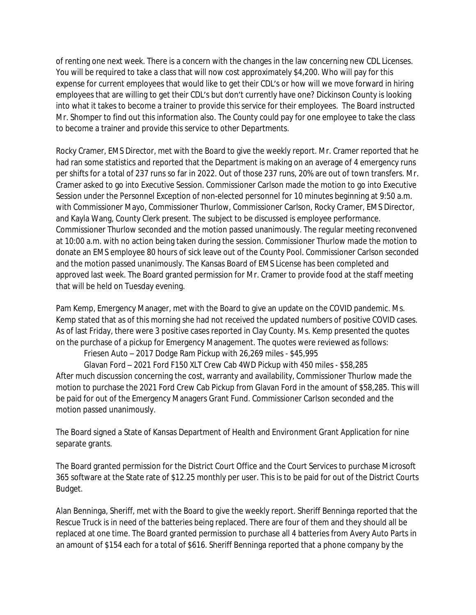of renting one next week. There is a concern with the changes in the law concerning new CDL Licenses. You will be required to take a class that will now cost approximately \$4,200. Who will pay for this expense for current employees that would like to get their CDL's or how will we move forward in hiring employees that are willing to get their CDL's but don't currently have one? Dickinson County is looking into what it takes to become a trainer to provide this service for their employees. The Board instructed Mr. Shomper to find out this information also. The County could pay for one employee to take the class to become a trainer and provide this service to other Departments.

Rocky Cramer, EMS Director, met with the Board to give the weekly report. Mr. Cramer reported that he had ran some statistics and reported that the Department is making on an average of 4 emergency runs per shifts for a total of 237 runs so far in 2022. Out of those 237 runs, 20% are out of town transfers. Mr. Cramer asked to go into Executive Session. Commissioner Carlson made the motion to go into Executive Session under the Personnel Exception of non-elected personnel for 10 minutes beginning at 9:50 a.m. with Commissioner Mayo, Commissioner Thurlow, Commissioner Carlson, Rocky Cramer, EMS Director, and Kayla Wang, County Clerk present. The subject to be discussed is employee performance. Commissioner Thurlow seconded and the motion passed unanimously. The regular meeting reconvened at 10:00 a.m. with no action being taken during the session. Commissioner Thurlow made the motion to donate an EMS employee 80 hours of sick leave out of the County Pool. Commissioner Carlson seconded and the motion passed unanimously. The Kansas Board of EMS License has been completed and approved last week. The Board granted permission for Mr. Cramer to provide food at the staff meeting that will be held on Tuesday evening.

Pam Kemp, Emergency Manager, met with the Board to give an update on the COVID pandemic. Ms. Kemp stated that as of this morning she had not received the updated numbers of positive COVID cases. As of last Friday, there were 3 positive cases reported in Clay County. Ms. Kemp presented the quotes on the purchase of a pickup for Emergency Management. The quotes were reviewed as follows:

Friesen Auto – 2017 Dodge Ram Pickup with 26,269 miles - \$45,995

Glavan Ford – 2021 Ford F150 XLT Crew Cab 4WD Pickup with 450 miles - \$58,285 After much discussion concerning the cost, warranty and availability, Commissioner Thurlow made the motion to purchase the 2021 Ford Crew Cab Pickup from Glavan Ford in the amount of \$58,285. This will be paid for out of the Emergency Managers Grant Fund. Commissioner Carlson seconded and the motion passed unanimously.

The Board signed a State of Kansas Department of Health and Environment Grant Application for nine separate grants.

The Board granted permission for the District Court Office and the Court Services to purchase Microsoft 365 software at the State rate of \$12.25 monthly per user. This is to be paid for out of the District Courts Budget.

Alan Benninga, Sheriff, met with the Board to give the weekly report. Sheriff Benninga reported that the Rescue Truck is in need of the batteries being replaced. There are four of them and they should all be replaced at one time. The Board granted permission to purchase all 4 batteries from Avery Auto Parts in an amount of \$154 each for a total of \$616. Sheriff Benninga reported that a phone company by the